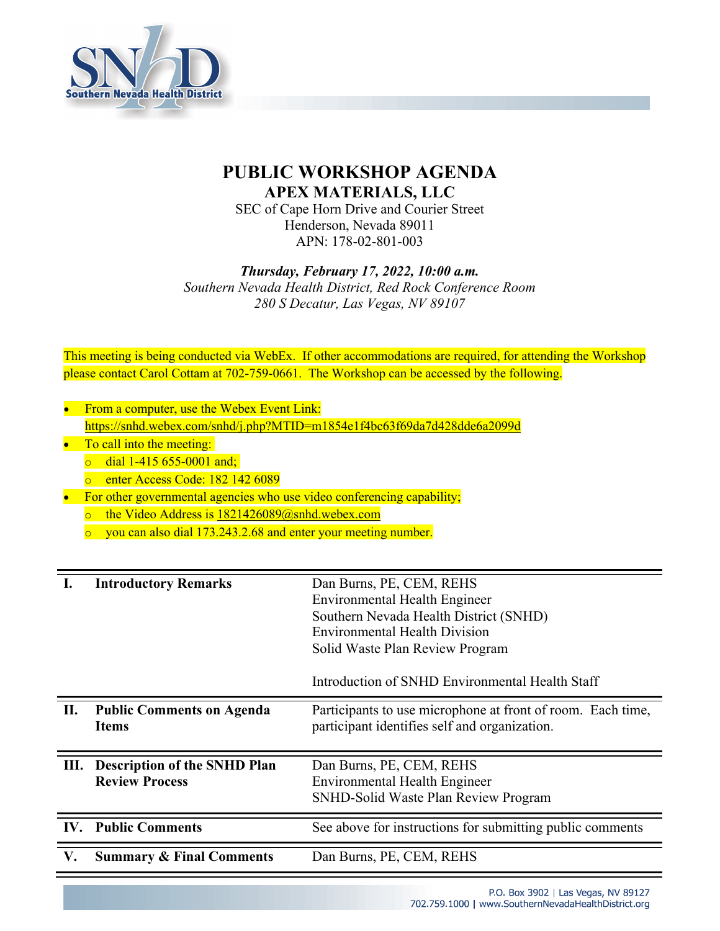

## **PUBLIC WORKSHOP AGENDA APEX MATERIALS, LLC**

SEC of Cape Horn Drive and Courier Street Henderson, Nevada 89011 APN: 178-02-801-003

*Thursday, February 17, 2022, 10:00 a.m.*

*Southern Nevada Health District, Red Rock Conference Room 280 S Decatur, Las Vegas, NV 89107*

This meeting is being conducted via WebEx. If other accommodations are required, for attending the Workshop please contact Carol Cottam at 702-759-0661. The Workshop can be accessed by the following.

- From a computer, use the Webex Event Link: https://snhd.webex.com/snhd/j.php?MTID=m1854e1f4bc63f69da7d428dde6a2099d
- To call into the meeting:
	- $\circ$  dial 1-415 655-0001 and;
	- o enter Access Code: 182 142 6089
- For other governmental agencies who use video conferencing capability;
	- $\circ$  the Video Address is 1821426089@snhd.webex.com
	- $\degree$  you can also dial 173.243.2.68 and enter your meeting number.

|    | <b>Introductory Remarks</b>                                  | Dan Burns, PE, CEM, REHS<br><b>Environmental Health Engineer</b><br>Southern Nevada Health District (SNHD)<br><b>Environmental Health Division</b><br>Solid Waste Plan Review Program<br>Introduction of SNHD Environmental Health Staff |
|----|--------------------------------------------------------------|------------------------------------------------------------------------------------------------------------------------------------------------------------------------------------------------------------------------------------------|
| П. | <b>Public Comments on Agenda</b><br><b>Items</b>             | Participants to use microphone at front of room. Each time,<br>participant identifies self and organization.                                                                                                                             |
| Ш. | <b>Description of the SNHD Plan</b><br><b>Review Process</b> | Dan Burns, PE, CEM, REHS<br><b>Environmental Health Engineer</b><br>SNHD-Solid Waste Plan Review Program                                                                                                                                 |
|    | <b>IV.</b> Public Comments                                   | See above for instructions for submitting public comments                                                                                                                                                                                |
| V. | <b>Summary &amp; Final Comments</b>                          | Dan Burns, PE, CEM, REHS                                                                                                                                                                                                                 |